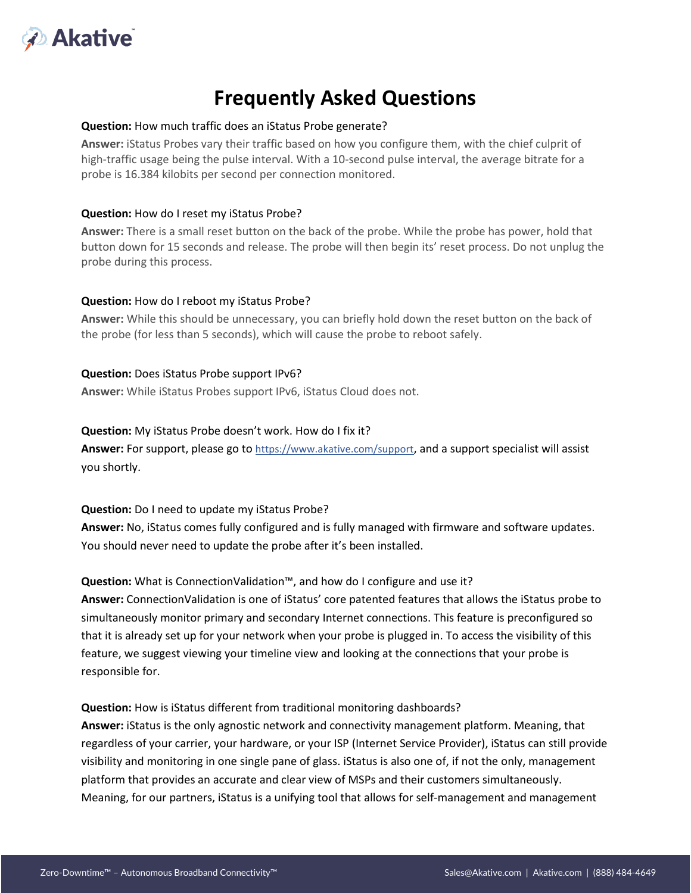

# **Frequently Asked Questions**

### **Question:** How much traffic does an iStatus Probe generate?

**Answer:** iStatus Probes vary their traffic based on how you configure them, with the chief culprit of high-traffic usage being the pulse interval. With a 10-second pulse interval, the average bitrate for a probe is 16.384 kilobits per second per connection monitored.

### **Question:** How do I reset my iStatus Probe?

**Answer:** There is a small reset button on the back of the probe. While the probe has power, hold that button down for 15 seconds and release. The probe will then begin its' reset process. Do not unplug the probe during this process.

### **Question:** How do I reboot my iStatus Probe?

**Answer:** While this should be unnecessary, you can briefly hold down the reset button on the back of the probe (for less than 5 seconds), which will cause the probe to reboot safely.

### **Question:** Does iStatus Probe support IPv6?

**Answer:** While iStatus Probes support IPv6, iStatus Cloud does not.

## **Question:** My iStatus Probe doesn't work. How do I fix it?

**Answer:** For support, please go to [https://www.akative.com/support,](https://www.akative.com/support) and a support specialist will assist you shortly.

## **Question:** Do I need to update my iStatus Probe?

**Answer:** No, iStatus comes fully configured and is fully managed with firmware and software updates. You should never need to update the probe after it's been installed.

## **Question:** What is ConnectionValidation™, and how do I configure and use it?

**Answer:** ConnectionValidation is one of iStatus' core patented features that allows the iStatus probe to simultaneously monitor primary and secondary Internet connections. This feature is preconfigured so that it is already set up for your network when your probe is plugged in. To access the visibility of this feature, we suggest viewing your timeline view and looking at the connections that your probe is responsible for.

#### **Question:** How is iStatus different from traditional monitoring dashboards?

**Answer:** iStatus is the only agnostic network and connectivity management platform. Meaning, that regardless of your carrier, your hardware, or your ISP (Internet Service Provider), iStatus can still provide visibility and monitoring in one single pane of glass. iStatus is also one of, if not the only, management platform that provides an accurate and clear view of MSPs and their customers simultaneously. Meaning, for our partners, iStatus is a unifying tool that allows for self-management and management